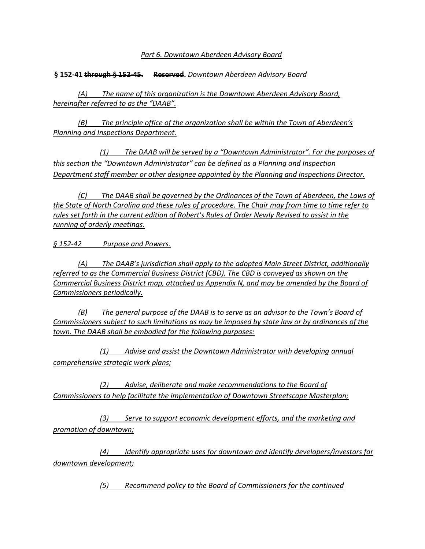*Part 6. Downtown Aberdeen Advisory Board*

## **§ 152-41 through § 152-45. Reserved.** *Downtown Aberdeen Advisory Board*

*(A) The name of this organization is the Downtown Aberdeen Advisory Board, hereinafter referred to as the "DAAB".*

*(B) The principle office of the organization shall be within the Town of Aberdeen's Planning and Inspections Department.*

*(1) The DAAB will be served by a "Downtown Administrator". For the purposes of this section the "Downtown Administrator" can be defined as a Planning and Inspection Department staff member or other designee appointed by the Planning and Inspections Director.*

*(C) The DAAB shall be governed by the Ordinances of the Town of Aberdeen, the Laws of the State of North Carolina and these rules of procedure. The Chair may from time to time refer to rules set forth in the current edition of Robert's Rules of Order Newly Revised to assist in the running of orderly meetings.*

*§ 152-42 Purpose and Powers.*

*(A) The DAAB's jurisdiction shall apply to the adopted Main Street District, additionally referred to as the Commercial Business District (CBD). The CBD is conveyed as shown on the Commercial Business District map, attached as Appendix N, and may be amended by the Board of Commissioners periodically.*

*(B) The general purpose of the DAAB is to serve as an advisor to the Town's Board of Commissioners subject to such limitations as may be imposed by state law or by ordinances of the town. The DAAB shall be embodied for the following purposes:*

*(1) Advise and assist the Downtown Administrator with developing annual comprehensive strategic work plans;*

*(2) Advise, deliberate and make recommendations to the Board of Commissioners to help facilitate the implementation of Downtown Streetscape Masterplan;*

*(3) Serve to support economic development efforts, and the marketing and promotion of downtown;*

*(4) Identify appropriate uses for downtown and identify developers/investors for downtown development;*

*(5) Recommend policy to the Board of Commissioners for the continued*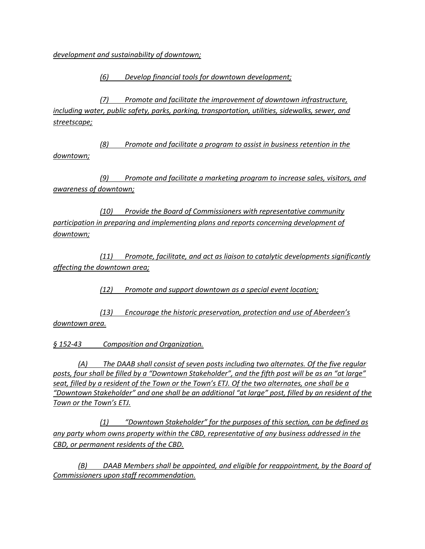*development and sustainability of downtown;*

*(6) Develop financial tools for downtown development;*

*(7) Promote and facilitate the improvement of downtown infrastructure, including water, public safety, parks, parking, transportation, utilities, sidewalks, sewer, and streetscape;*

*(8) Promote and facilitate a program to assist in business retention in the downtown;*

*(9) Promote and facilitate a marketing program to increase sales, visitors, and awareness of downtown;*

*(10) Provide the Board of Commissioners with representative community participation in preparing and implementing plans and reports concerning development of downtown;*

*(11) Promote, facilitate, and act as liaison to catalytic developments significantly affecting the downtown area;*

*(12) Promote and support downtown as a special event location;*

*(13) Encourage the historic preservation, protection and use of Aberdeen's downtown area.*

*§ 152-43 Composition and Organization.*

*(A) The DAAB shall consist of seven posts including two alternates. Of the five regular posts, four shall be filled by a "Downtown Stakeholder", and the fifth post will be as an "at large" seat, filled by a resident of the Town or the Town's ETJ. Of the two alternates, one shall be a "Downtown Stakeholder" and one shall be an additional "at large" post, filled by an resident of the Town or the Town's ETJ.* 

*(1) "Downtown Stakeholder" for the purposes of this section, can be defined as any party whom owns property within the CBD, representative of any business addressed in the CBD, or permanent residents of the CBD.*

*(B) DAAB Members shall be appointed, and eligible for reappointment, by the Board of Commissioners upon staff recommendation.*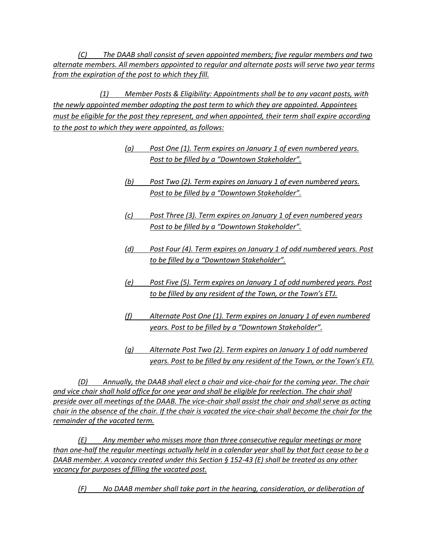*(C) The DAAB shall consist of seven appointed members; five regular members and two alternate members. All members appointed to regular and alternate posts will serve two year terms from the expiration of the post to which they fill.*

*(1) Member Posts & Eligibility: Appointments shall be to any vacant posts, with the newly appointed member adopting the post term to which they are appointed. Appointees must be eligible for the post they represent, and when appointed, their term shall expire according to the post to which they were appointed, as follows:*

- *(a) Post One (1). Term expires on January 1 of even numbered years. Post to be filled by a "Downtown Stakeholder".*
- *(b) Post Two (2). Term expires on January 1 of even numbered years. Post to be filled by a "Downtown Stakeholder".*
- *(c) Post Three (3). Term expires on January 1 of even numbered years Post to be filled by a "Downtown Stakeholder".*
- *(d) Post Four (4). Term expires on January 1 of odd numbered years. Post to be filled by a "Downtown Stakeholder".*
- *(e) Post Five (5). Term expires on January 1 of odd numbered years. Post to be filled by any resident of the Town, or the Town's ETJ.*
- *(f) Alternate Post One (1). Term expires on January 1 of even numbered years. Post to be filled by a "Downtown Stakeholder".*
- *(g) Alternate Post Two (2). Term expires on January 1 of odd numbered years. Post to be filled by any resident of the Town, or the Town's ETJ.*

*(D) Annually, the DAAB shall elect a chair and vice-chair for the coming year. The chair and vice chair shall hold office for one year and shall be eligible for reelection. The chair shall preside over all meetings of the DAAB. The vice-chair shall assist the chair and shall serve as acting chair in the absence of the chair. If the chair is vacated the vice-chair shall become the chair for the remainder of the vacated term.* 

*(E) Any member who misses more than three consecutive regular meetings or more than one-half the regular meetings actually held in a calendar year shall by that fact cease to be a DAAB member. A vacancy created under this Section § 152-43 (E) shall be treated as any other vacancy for purposes of filling the vacated post.*

*(F) No DAAB member shall take part in the hearing, consideration, or deliberation of*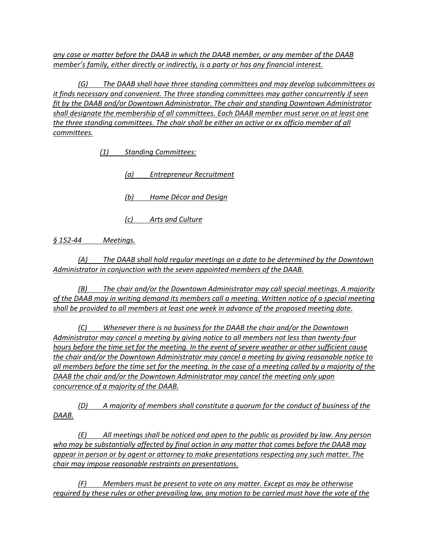*any case or matter before the DAAB in which the DAAB member, or any member of the DAAB member's family, either directly or indirectly, is a party or has any financial interest.*

*(G) The DAAB shall have three standing committees and may develop subcommittees as it finds necessary and convenient. The three standing committees may gather concurrently if seen fit by the DAAB and/or Downtown Administrator. The chair and standing Downtown Administrator shall designate the membership of all committees. Each DAAB member must serve on at least one the three standing committees. The chair shall be either an active or ex officio member of all committees.*

*(1) Standing Committees:*

*(a) Entrepreneur Recruitment*

*(b) Home Décor and Design*

*(c) Arts and Culture*

*§ 152-44 Meetings.*

*(A) The DAAB shall hold regular meetings on a date to be determined by the Downtown Administrator in conjunction with the seven appointed members of the DAAB.*

*(B) The chair and/or the Downtown Administrator may call special meetings. A majority of the DAAB may in writing demand its members call a meeting. Written notice of a special meeting shall be provided to all members at least one week in advance of the proposed meeting date.*

*(C) Whenever there is no business for the DAAB the chair and/or the Downtown Administrator may cancel a meeting by giving notice to all members not less than twenty-four hours before the time set for the meeting. In the event of severe weather or other sufficient cause the chair and/or the Downtown Administrator may cancel a meeting by giving reasonable notice to all members before the time set for the meeting. In the case of a meeting called by a majority of the DAAB the chair and/or the Downtown Administrator may cancel the meeting only upon concurrence of a majority of the DAAB.*

*(D) A majority of members shall constitute a quorum for the conduct of business of the DAAB.*

*(E) All meetings shall be noticed and open to the public as provided by law. Any person who may be substantially affected by final action in any matter that comes before the DAAB may appear in person or by agent or attorney to make presentations respecting any such matter. The chair may impose reasonable restraints on presentations.*

*(F) Members must be present to vote on any matter. Except as may be otherwise required by these rules or other prevailing law, any motion to be carried must have the vote of the*